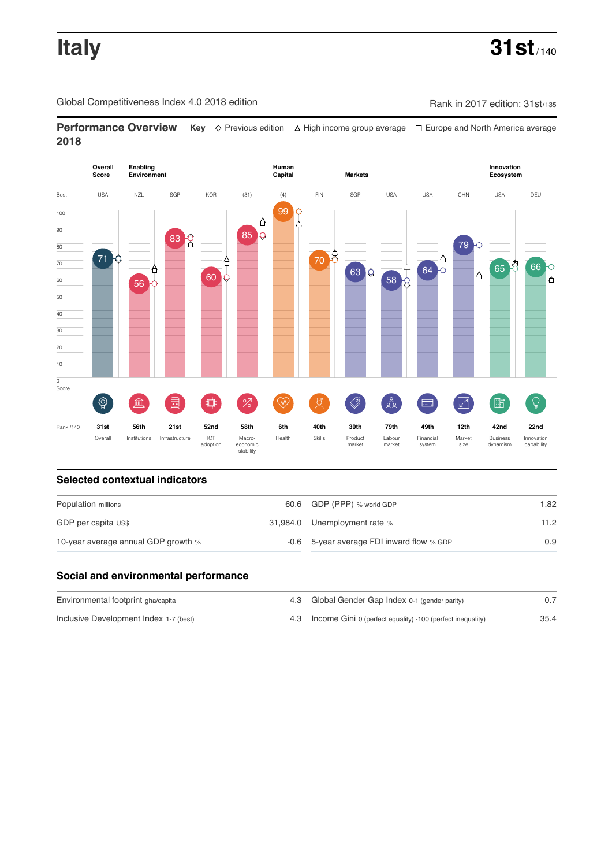Global Competitiveness Index 4.0 2018 edition Company Company Rank in 2017 edition: 31st/135

**Performance Overview** Key  $\Diamond$  Previous edition ∆ High income group average  $\Box$  Europe and North America average **2018**



# **Selected contextual indicators**

| Population millions                 |  | 60.6 GDP (PPP) % world GDP                | 1.82 |  |
|-------------------------------------|--|-------------------------------------------|------|--|
| GDP per capita US\$                 |  | 31,984.0 Unemployment rate %              | 11.2 |  |
| 10-year average annual GDP growth % |  | -0.6 5-year average FDI inward flow % GDP | 0.9  |  |

### **Social and environmental performance**

| Environmental footprint gha/capita     | 4.3 Global Gender Gap Index 0-1 (gender parity)                |      |
|----------------------------------------|----------------------------------------------------------------|------|
| Inclusive Development Index 1-7 (best) | 4.3 Income Gini 0 (perfect equality) -100 (perfect inequality) | 35.4 |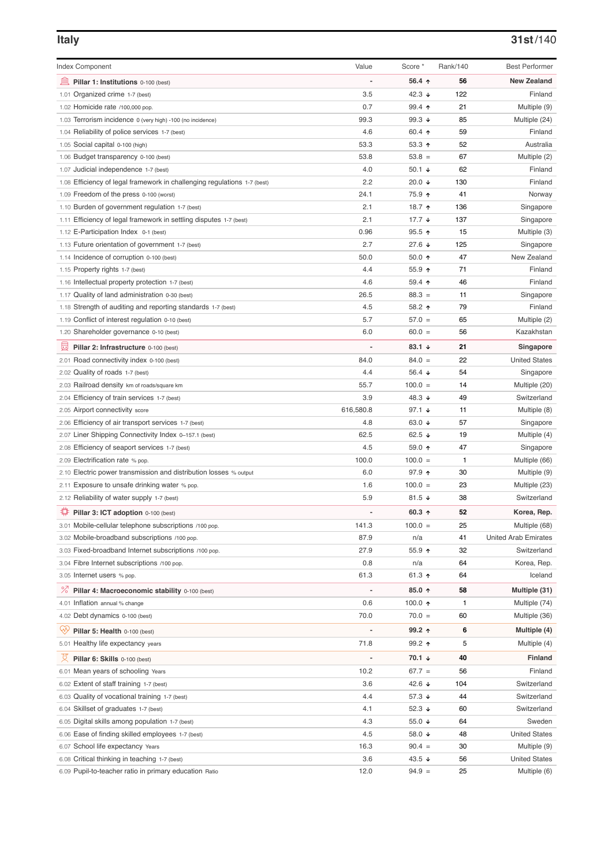# **Italy 31st**/140

| <b>Index Component</b>                                                   | Value                    | Score *                  | Rank/140 | <b>Best Performer</b>       |
|--------------------------------------------------------------------------|--------------------------|--------------------------|----------|-----------------------------|
| 寙<br>Pillar 1: Institutions 0-100 (best)                                 | ÷,                       | 56.4 ↑                   | 56       | <b>New Zealand</b>          |
| 1.01 Organized crime 1-7 (best)                                          | 3.5                      | 42.3 $\sqrt{ }$          | 122      | Finland                     |
| 1.02 Homicide rate /100,000 pop.                                         | 0.7                      | 99.4 ↑                   | 21       | Multiple (9)                |
| 1.03 Terrorism incidence 0 (very high) -100 (no incidence)               | 99.3                     | 99.3 $\sqrt{ }$          | 85       | Multiple (24)               |
| 1.04 Reliability of police services 1-7 (best)                           | 4.6                      | 60.4 ↑                   | 59       | Finland                     |
| 1.05 Social capital 0-100 (high)                                         | 53.3                     | $53.3$ 1                 | 52       | Australia                   |
| 1.06 Budget transparency 0-100 (best)                                    | 53.8                     | $53.8 =$                 | 67       | Multiple (2)                |
| 1.07 Judicial independence 1-7 (best)                                    | 4.0                      | 50.1 $\sqrt{ }$          | 62       | Finland                     |
| 1.08 Efficiency of legal framework in challenging regulations 1-7 (best) | 2.2                      | 20.0 ↓                   | 130      | Finland                     |
| 1.09 Freedom of the press 0-100 (worst)                                  | 24.1                     | 75.9 个                   | 41       | Norway                      |
| 1.10 Burden of government regulation 1-7 (best)                          | 2.1                      | 18.7 ተ                   | 136      | Singapore                   |
| 1.11 Efficiency of legal framework in settling disputes 1-7 (best)       | 2.1                      | 17.7 $\downarrow$        | 137      | Singapore                   |
| 1.12 E-Participation Index 0-1 (best)                                    | 0.96                     | $95.5$ ↑                 | 15       | Multiple (3)                |
| 1.13 Future orientation of government 1-7 (best)                         | 2.7                      | 27.6 ↓                   | 125      | Singapore                   |
| 1.14 Incidence of corruption 0-100 (best)                                | 50.0                     | $50.0 \text{ } \uparrow$ | 47       | New Zealand                 |
| 1.15 Property rights 1-7 (best)                                          | 4.4                      | 55.9 个                   | 71       | Finland                     |
| 1.16 Intellectual property protection 1-7 (best)                         | 4.6                      | 59.4 ↑                   | 46       | Finland                     |
| 1.17 Quality of land administration 0-30 (best)                          | 26.5                     | $88.3 =$                 | 11       | Singapore                   |
| 1.18 Strength of auditing and reporting standards 1-7 (best)             | 4.5                      | 58.2 ↑                   | 79       | Finland                     |
| 1.19 Conflict of interest regulation 0-10 (best)                         | 5.7                      | $57.0 =$                 | 65       | Multiple (2)                |
| 1.20 Shareholder governance 0-10 (best)                                  | 6.0                      | $60.0 =$                 | 56       | Kazakhstan                  |
| 圓<br>Pillar 2: Infrastructure 0-100 (best)                               |                          | 83.1 $\sqrt{ }$          | 21       | Singapore                   |
| 2.01 Road connectivity index 0-100 (best)                                | 84.0                     | $84.0 =$                 | 22       | <b>United States</b>        |
| 2.02 Quality of roads 1-7 (best)                                         | 4.4                      | 56.4 $\sqrt{ }$          | 54       | Singapore                   |
| 2.03 Railroad density km of roads/square km                              | 55.7                     | $100.0 =$                | 14       | Multiple (20)               |
| 2.04 Efficiency of train services 1-7 (best)                             | 3.9                      | 48.3 $\sqrt{ }$          | 49       | Switzerland                 |
| 2.05 Airport connectivity score                                          | 616,580.8                | 97.1 $\sqrt{ }$          | 11       | Multiple (8)                |
| 2.06 Efficiency of air transport services 1-7 (best)                     | 4.8                      | 63.0 $\sqrt{ }$          | 57       | Singapore                   |
| 2.07 Liner Shipping Connectivity Index 0-157.1 (best)                    | 62.5                     | 62.5 $\sqrt{ }$          | 19       | Multiple (4)                |
| 2.08 Efficiency of seaport services 1-7 (best)                           | 4.5                      | 59.0 ↑                   | 47       | Singapore                   |
| 2.09 Electrification rate % pop.                                         | 100.0                    | $100.0 =$                | 1        | Multiple (66)               |
| 2.10 Electric power transmission and distribution losses % output        | 6.0                      | 97.9 个                   | 30       | Multiple (9)                |
| 2.11 Exposure to unsafe drinking water % pop.                            | 1.6                      | $100.0 =$                | 23       | Multiple (23)               |
| 2.12 Reliability of water supply 1-7 (best)                              | 5.9                      | 81.5 $\sqrt{ }$          | 38       | Switzerland                 |
| ₽<br>Pillar 3: ICT adoption 0-100 (best)                                 |                          | 60.3 $\uparrow$          | 52       | Korea, Rep.                 |
| 3.01 Mobile-cellular telephone subscriptions /100 pop.                   | 141.3                    | $100.0 =$                | 25       | Multiple (68)               |
| 3.02 Mobile-broadband subscriptions /100 pop.                            | 87.9                     | n/a                      | 41       | <b>United Arab Emirates</b> |
| 3.03 Fixed-broadband Internet subscriptions /100 pop.                    | 27.9                     | 55.9 个                   | 32       | Switzerland                 |
| 3.04 Fibre Internet subscriptions /100 pop.                              | 0.8                      | n/a                      | 64       | Korea, Rep.                 |
| 3.05 Internet users % pop.                                               | 61.3                     | 61.3 ↑                   | 64       | Iceland                     |
|                                                                          |                          |                          |          |                             |
| ℅<br>Pillar 4: Macroeconomic stability 0-100 (best)                      | $\overline{\phantom{a}}$ | 85.0 ↑                   | 58       | Multiple (31)               |
| 4.01 Inflation annual % change                                           | 0.6                      | 100.0 $\uparrow$         | 1        | Multiple (74)               |
| 4.02 Debt dynamics 0-100 (best)                                          | 70.0                     | $70.0 =$                 | 60       | Multiple (36)               |
| Ųy<br>Pillar 5: Health 0-100 (best)                                      |                          | 99.2 ↑                   | 6        | Multiple (4)                |
| 5.01 Healthy life expectancy years                                       | 71.8                     | 99.2 ↑                   | 5        | Multiple (4)                |
| 섯<br>Pillar 6: Skills 0-100 (best)                                       | -                        | 70.1 ↓                   | 40       | <b>Finland</b>              |
| 6.01 Mean years of schooling Years                                       | 10.2                     | $67.7 =$                 | 56       | Finland                     |
| 6.02 Extent of staff training 1-7 (best)                                 | 3.6                      | 42.6 ↓                   | 104      | Switzerland                 |
| 6.03 Quality of vocational training 1-7 (best)                           | 4.4                      | 57.3 ↓                   | 44       | Switzerland                 |
| 6.04 Skillset of graduates 1-7 (best)                                    | 4.1                      | 52.3 $\sqrt{ }$          | 60       | Switzerland                 |
| 6.05 Digital skills among population 1-7 (best)                          | 4.3                      | 55.0 ↓                   | 64       | Sweden                      |
| 6.06 Ease of finding skilled employees 1-7 (best)                        | 4.5                      | 58.0 ↓                   | 48       | <b>United States</b>        |
| 6.07 School life expectancy Years                                        | 16.3                     | $90.4 =$                 | 30       | Multiple (9)                |
| 6.08 Critical thinking in teaching 1-7 (best)                            | 3.6                      | 43.5 ↓                   | 56       | <b>United States</b>        |
| 6.09 Pupil-to-teacher ratio in primary education Ratio                   | 12.0                     | $94.9 =$                 | 25       | Multiple (6)                |